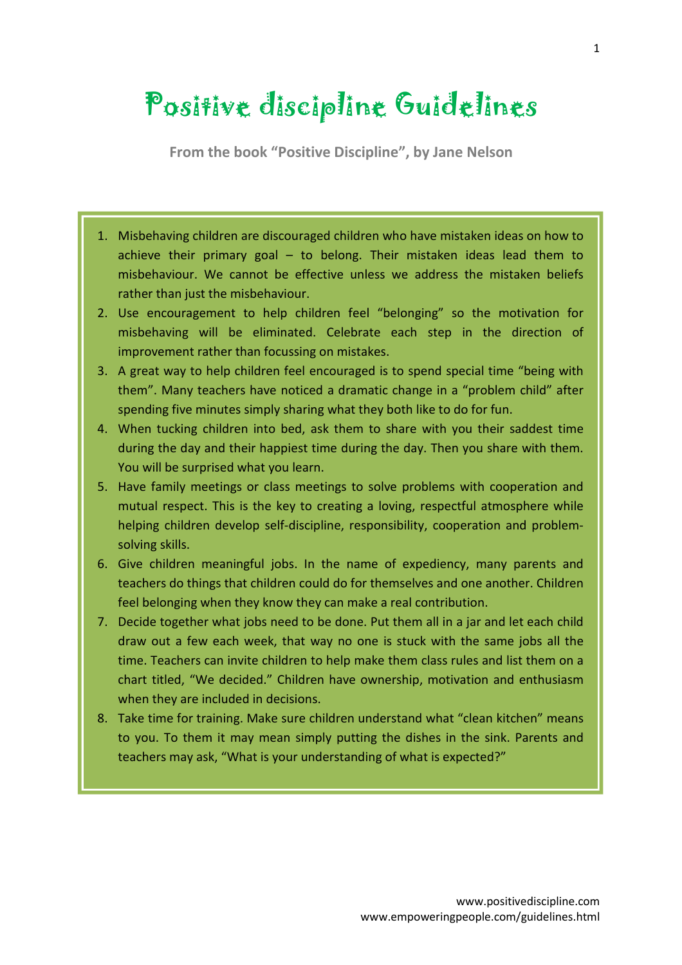## Positive discipline Guidelines

**From the book "Positive Discipline", by Jane Nelson**

- 1. Misbehaving children are discouraged children who have mistaken ideas on how to achieve their primary goal – to belong. Their mistaken ideas lead them to misbehaviour. We cannot be effective unless we address the mistaken beliefs rather than just the misbehaviour.
- 2. Use encouragement to help children feel "belonging" so the motivation for misbehaving will be eliminated. Celebrate each step in the direction of improvement rather than focussing on mistakes.
- 3. A great way to help children feel encouraged is to spend special time "being with them". Many teachers have noticed a dramatic change in a "problem child" after spending five minutes simply sharing what they both like to do for fun.
- 4. When tucking children into bed, ask them to share with you their saddest time during the day and their happiest time during the day. Then you share with them. You will be surprised what you learn.
- 5. Have family meetings or class meetings to solve problems with cooperation and mutual respect. This is the key to creating a loving, respectful atmosphere while helping children develop self-discipline, responsibility, cooperation and problemsolving skills.
- 6. Give children meaningful jobs. In the name of expediency, many parents and teachers do things that children could do for themselves and one another. Children feel belonging when they know they can make a real contribution.
- 7. Decide together what jobs need to be done. Put them all in a jar and let each child draw out a few each week, that way no one is stuck with the same jobs all the time. Teachers can invite children to help make them class rules and list them on a chart titled, "We decided." Children have ownership, motivation and enthusiasm when they are included in decisions.
- 8. Take time for training. Make sure children understand what "clean kitchen" means to you. To them it may mean simply putting the dishes in the sink. Parents and teachers may ask, "What is your understanding of what is expected?"